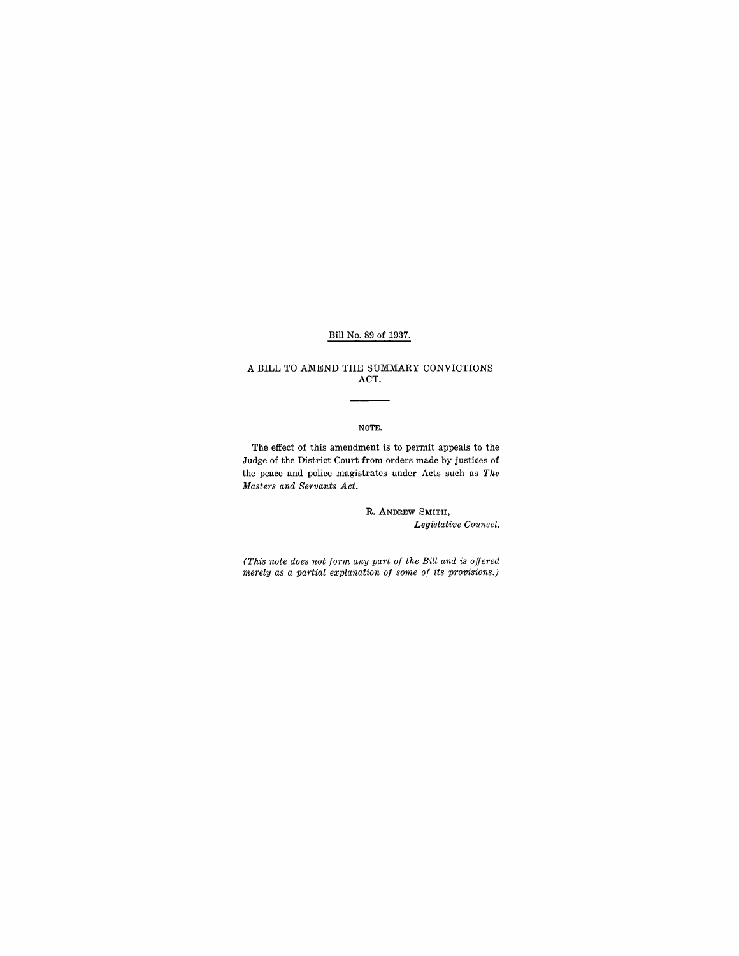## Bill No. 89 of 1937.

### A **BILL** TO AMEND THE SUMMARY CONVICTIONS ACT.

#### NOTE.

The effect of this amendment is to permit appeals to the Judge of the District Court from orders made by justices of the peace and police magistrates under Acts such as *The Masters and Servants Act.* 

> R. ANDREW SMITH, *Legislative Counsel.*

*(This note does not form any part of the Bill and is offered merely as a partial explanation of some of its provisions.)*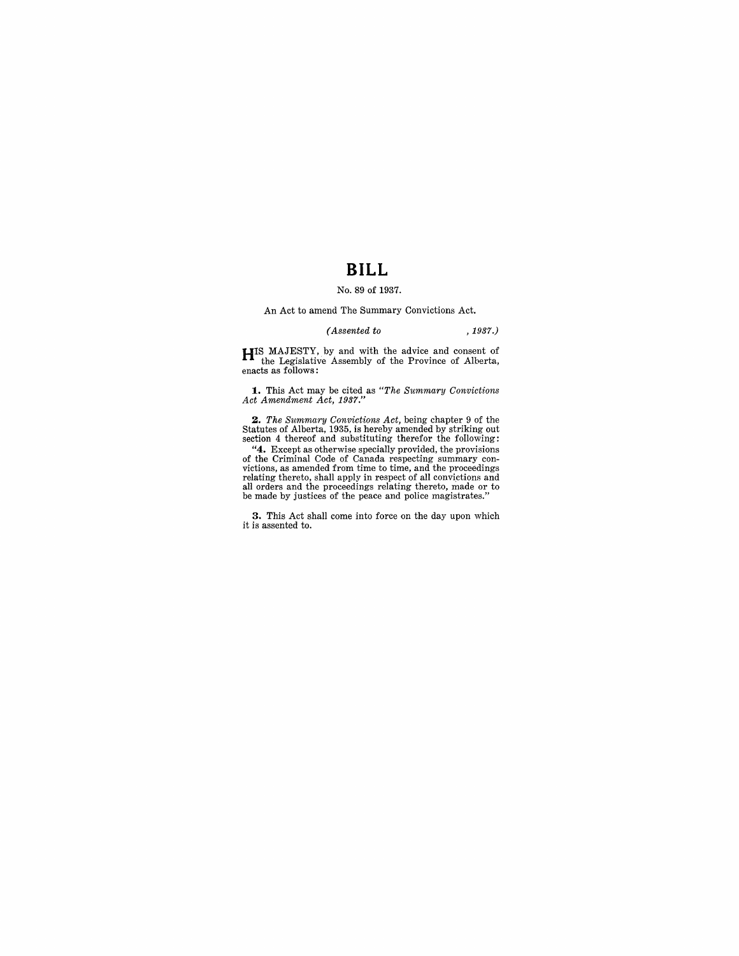# **BILL**

#### No. 89 of 1937.

An Act to amend The Summary Convictions Act.

## *(Assented to* ,1937.)

**HIS** MAJESTY, by and with the advice and consent of the Legislative Assembly of the Province of Alberta, enacts as follows:

**1.** This Act may be cited as *"The Summary Convictions Act Amendment Act, 1937."* 

2. The Summary Convictions Act, being chapter 9 of the Statutes of Alberta, 1935, is hereby amended by striking out section 4 thereof and substituting therefor the following:

"4. Except as otherwise specially provided, the provisions of the Criminal Code of Canada respecting summary convictions, as amended from time to time, and the proceedings relating thereto, shall apply in respect of all covictions and all orders and the proceedings relating theret

**3.** This Act shall come into force on the day upon which it is assented to.